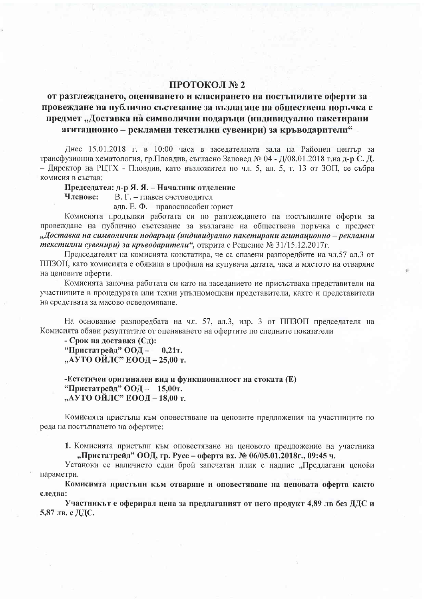## ПРОТОКОЛ № 2

## от разглеждането, оценяването и класирането на постъпилите оферти за провеждане на публично състезание за възлагане на обществена поръчка с предмет "Доставка на символични подаръци (индивидуално пакетирани агитационно - рекламни текстилни сувенири) за кръводарители"

Днес 15.01.2018 г. в 10:00 часа в заседателната зала на Районен център за трансфузионна хематология, гр. Пловдив, съгласно Заповед № 04 - Д/08.01.2018 г. на д-р С. Д. - Директор на РЦТХ - Пловдив, като възложител по чл. 5, ал. 5, т. 13 от ЗОП, се събра комисия в състав:

Председател: д-р Я. Я. – Началник отделение

Членове: В. Г. - главен счетоводител

адв. Е. Ф. - правоспособен юрист

Комисията продължи работата си по разглеждането на постъпилите оферти за провеждане на публично състезание за възлагане на обществена поръчка с предмет "Доставка на символични подаръци (индивидуално пакетирани агитационно – рекламни текстилни сувенири) за кръводарители", открита с Решение № 31/15.12.2017г.

Председателят на комисията констатира, че са спазени разпоредбите на чл.57 ал.3 от ППЗОП, като комисията е обявила в профила на купувача датата, часа и мястото на отваряне на ценовите оферти.

Комисията започна работата си като на заседанието не присъстваха представители на участниците в процедурата или техни упълномощени представители, както и представители на средствата за масово осведомяване.

На основание разпоредбата на чл. 57, ал.3, изр. 3 от ППЗОП председателя на Комисията обяви резултатите от оценяването на офертите по следните показатели

- Срок на доставка (Сд): "Пристатрейд" ООД- $0,21$ T. "АУТО ОЙЛС" ЕООД – 25,00 т.

-Естетичен оригинален вид и функционалност на стоката (E) "Пристатрейд" ООД- 15,00т. "АУТО ОЙЛС" ЕООД – 18,00 т.

Комисията пристъпи към оповестяване на ценовите предложения на участниците по реда на постъпването на офертите:

1. Комисията пристъпи към оповестяване на ценовото предложение на участника "Пристатрейд" ООД, гр. Русе – оферта вх. № 06/05.01.2018г., 09:45 ч.

Установи се наличието един брой запечатан плик с надпис "Предлагани ценови параметри.

Комисията пристъпи към отваряне и оповестяване на ценовата оферта както следва:

Участникът е оферирал цена за предлаганият от него продукт 4,89 лв без ДДС и 5,87 лв. с ДДС.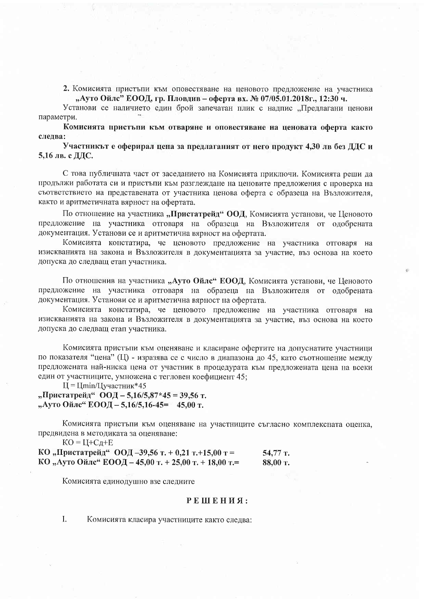2. Комисията пристъпи към оповестяване на ценовото предложение на участника "Ауто Ойлс" ЕООД, гр. Пловдив – оферта вх. № 07/05.01.2018г., 12:30 ч.

Установи се наличието елин брой запечатан плик с налпис "Преллагани ценови параметри.

Комисията пристъпи към отваряне и оповестяване на ценовата оферта както следва:

Участникът е оферирал цена за предлаганият от него продукт 4.30 лв без ДДС и 5,16 лв. с ДДС.

С това публичната част от заседанието на Комисията приключи. Комисията реши да продължи работата си и пристъпи към разглеждане на ценовите предложения с проверка на съответствието на представената от участника ценова оферта с образеца на Възложителя, както и аритметичната вярност на офертата.

По отношение на участника "Пристатрейд" ООД, Комисията установи, че Ценовото предложение на участника отговаря на образеца на Възложителя от одобрената документация. Установи се и аритметична вярност на офертата.

Комисията констатира, че ценовото предложение на участника отговаря на изискванията на закона и Възложителя в документацията за участие, въз основа на което допуска до следващ етап участника.

По отношенив на участника "Ауто Ойлс" ЕООД, Комисията установи, че Ценовото предложение на участника отговаря на образеца на Възложителя от одобрената документация. Установи се и аритметична вярност на офертата.

Комисията констатира, че ценовото предложение на участника отговаря на изискванията на закона и Възложителя в документацията за участие, въз основа на което допуска до следващ етап участника.

Комисията пристъпи към оценяване и класиране офертите на допуснатите участници по показателя "цена" (Ц) - изразява се с число в диапазона до 45, като съотношение между предложената най-ниска цена от участник в процедурата към предложената цена на всеки един от участниците, умножена с тегловен коефициент 45;

 $II = Llmin/Llyqac$ тник\*45

"Пристатрейд" ООД - 5,16/5,87\*45 = 39,56 т. "Ауто Ойле" ЕООД - 5,16/5,16-45= 45.00 т.

Комисията пристъпи към оценяване на участниците съгласно комплексната оценка, предвидена в методиката за оценяване:

 $KO = LI+C<sub>Д</sub>+E$ КО "Пристатрейд" ООД -39,56 т. + 0,21 т. +15,00 т = 54,77 T. КО "Ауто Ойле" ЕООД - 45,00 т. + 25,00 т. + 18,00 т.= 88,00 т.

Комисията единодушно взе следните

## РЕШЕНИЯ:

L. Комисията класира участниците както следва: